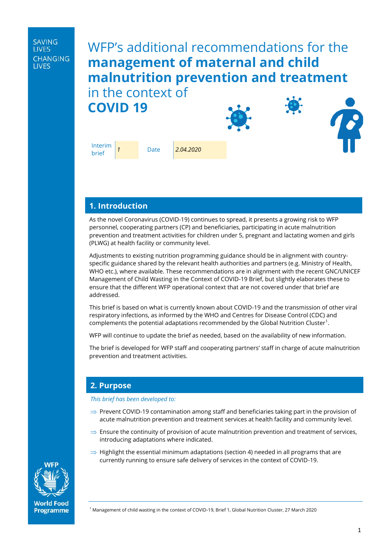| SAVING<br>LIVES   |  |
|-------------------|--|
| CHANGING<br>LIVES |  |

# WFP's additional recommendations for the **management of maternal and child malnutrition prevention and treatment**  in the context of **COVID 19**





As the novel Coronavirus (COVID-19) continues to spread, it presents a growing risk to WFP personnel, cooperating partners (CP) and beneficiaries, participating in acute malnutrition prevention and treatment activities for children under 5, pregnant and lactating women and girls (PLWG) at health facility or community level.

Adjustments to existing nutrition programming guidance should be in alignment with countryspecific guidance shared by the relevant health authorities and partners (e.g. Ministry of Health, WHO etc.), where available. These recommendations are in alignment with the recent GNC/UNICEF Management of Child Wasting in the Context of COVID-19 Brief, but slightly elaborates these to ensure that the different WFP operational context that are not covered under that brief are addressed.

This brief is based on what is currently known about COVID-19 and the transmission of other viral respiratory infections, as informed by the WHO and Centres for Disease Control (CDC) and complements the potential adaptations recommended by the Global Nutrition Cluster $^1.$ 

WFP will continue to update the brief as needed, based on the availability of new information.

The brief is developed for WFP staff and cooperating partners' staff in charge of acute malnutrition prevention and treatment activities.

## **2. Purpose**

*This brief has been developed to:* 

- $\Rightarrow$  Prevent COVID-19 contamination among staff and beneficiaries taking part in the provision of acute malnutrition prevention and treatment services at health facility and community level.
- $\Rightarrow$  Ensure the continuity of provision of acute malnutrition prevention and treatment of services, introducing adaptations where indicated.
- $\Rightarrow$  Highlight the essential minimum adaptations (section 4) needed in all programs that are currently running to ensure safe delivery of services in the context of COVID-19.



**World Food** Programme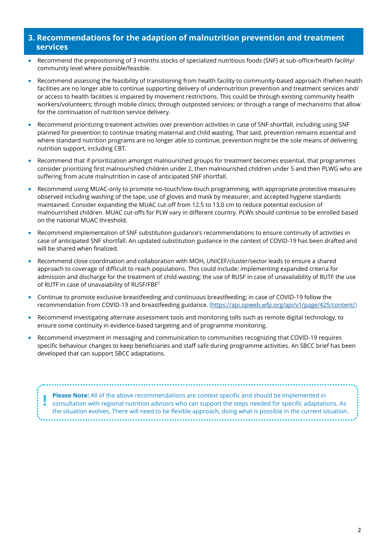## **3. Recommendations for the adaption of malnutrition prevention and treatment services**

- Recommend the prepositioning of 3 months stocks of specialized nutritious foods (SNF) at sub-office/health facility/ community level where possible/feasible.
- Recommend assessing the feasibility of transitioning from health facility to community-based approach if/when health facilities are no longer able to continue supporting delivery of undernutrition prevention and treatment services and/ or access to health facilities is impaired by movement restrictions. This could be through existing community health workers/volunteers; through mobile clinics; through outposted services; or through a range of mechanisms that allow for the continuation of nutrition service delivery.
- Recommend prioritizing treatment activities over prevention activities in case of SNF shortfall, including using SNF planned for prevention to continue treating maternal and child wasting. That said, prevention remains essential and where standard nutrition programs are no longer able to continue, prevention might be the sole means of delivering nutrition support, including CBT.
- Recommend that if prioritization amongst malnourished groups for treatment becomes essential, that programmes consider prioritizing first malnourished children under 2, then malnourished children under 5 and then PLWG who are suffering from acute malnutrition in case of anticipated SNF shortfall.
- Recommend using MUAC-only to promote no-touch/low-touch programming, with appropriate protective measures observed including washing of the tape, use of gloves and mask by measurer, and accepted hygiene standards maintained. Consider expanding the MUAC cut-off from 12.5 to 13.0 cm to reduce potential exclusion of malnourrished children. MUAC cut-offs for PLW vary in different country. PLWs should continue to be enrolled based on the national MUAC threshold.
- Recommend implementation of SNF substitution guidance's recommendations to ensure continuity of activities in case of anticipated SNF shortfall. An updated substitution guidance in the context of COVID-19 has been drafted and will be shared when finalized.
- Recommend close coordination and collaboration with MOH, UNICEF/cluster/sector leads to ensure a shared approach to coverage of difficult to reach populations. This could include: implementing expanded criteria for admission and discharge for the treatment of child wasting; the use of RUSF in case of unavailability of RUTF the use of RUTF in case of unavaiability of RUSF/FBF $^2$
- Continue to promote exclusive breastfeeding and continuous breastfeeding; in case of COVID-19 follow the recommendation from COVID-19 and breastfeeding guidance. ([https://api.opweb.wfp.org/api/v1/page/425/content/\)](https://api.opweb.wfp.org/api/v1/page/425/content/)
- Recommend investigating alternate assessment tools and monitoring tolls such as remote digital technology, to ensure some continuity in evidence-based targeting and of programme monitoring.
- Recommend investment in messaging and communication to communities recognizing that COVID-19 requires specific behaviour changes to keep beneficiaries and staff safe during programme activities. An SBCC brief has been developed that can support SBCC adaptations.

| Please Note: All of the above recommendations are context specific and should be implemented in<br>consultation with regional nutrition advisors who can support the steps needed for specific adaptations. As<br>the situation evolves, There will need to be flexible approach, doing what is possible in the current situation. |
|------------------------------------------------------------------------------------------------------------------------------------------------------------------------------------------------------------------------------------------------------------------------------------------------------------------------------------|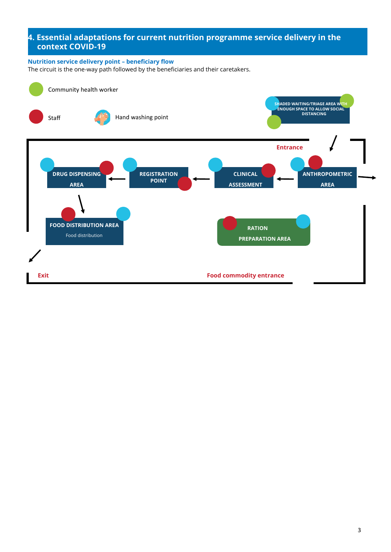# **4. Essential adaptations for current nutrition programme service delivery in the**  • **context COVID-19**

#### **Nutrition service delivery point – beneficiary flow**

The circuit is the one-way path followed by the beneficiaries and their caretakers.

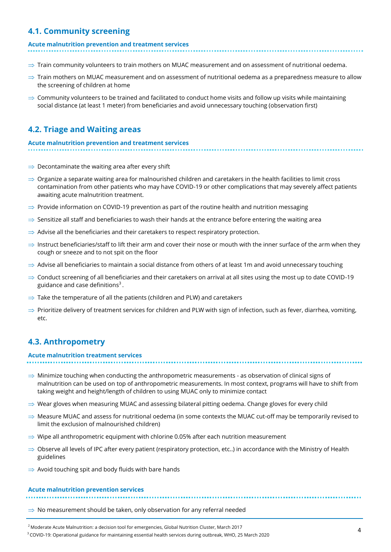# **4.1. Community screening**

#### **Acute malnutrition prevention and treatment services**

- $\Rightarrow$  Train community volunteers to train mothers on MUAC measurement and on assessment of nutritional oedema.
- $\Rightarrow$  Train mothers on MUAC measurement and on assessment of nutritional oedema as a preparedness measure to allow the screening of children at home
- $\Rightarrow$  Community volunteers to be trained and facilitated to conduct home visits and follow up visits while maintaining social distance (at least 1 meter) from beneficiaries and avoid unnecessary touching (observation first)

# **4.2. Triage and Waiting areas**

# **Acute malnutrition prevention and treatment services**

- $\Rightarrow$  Decontaminate the waiting area after every shift
- $\Rightarrow$  Organize a separate waiting area for malnourished children and caretakers in the health facilities to limit cross contamination from other patients who may have COVID-19 or other complications that may severely affect patients awaiting acute malnutrition treatment.
- $\Rightarrow$  Provide information on COVID-19 prevention as part of the routine health and nutrition messaging
- $\Rightarrow$  Sensitize all staff and beneficiaries to wash their hands at the entrance before entering the waiting area
- $\Rightarrow$  Advise all the beneficiaries and their caretakers to respect respiratory protection.
- $\Rightarrow$  Instruct beneficiaries/staff to lift their arm and cover their nose or mouth with the inner surface of the arm when they cough or sneeze and to not spit on the floor
- $\Rightarrow$  Advise all beneficiaries to maintain a social distance from others of at least 1m and avoid unnecessary touching
- $\Rightarrow$  Conduct screening of all beneficiaries and their caretakers on arrival at all sites using the most up to date COVID-19 guidance and case definitions $3$ .
- $\Rightarrow$  Take the temperature of all the patients (children and PLW) and caretakers
- $\Rightarrow$  Prioritize delivery of treatment services for children and PLW with sign of infection, such as fever, diarrhea, vomiting, etc.

# **4.3. Anthropometry**

#### **Acute malnutrition treatment services**

 $\Rightarrow$  Minimize touching when conducting the anthropometric measurements - as observation of clinical signs of malnutrition can be used on top of anthropometric measurements. In most context, programs will have to shift from taking weight and height/length of children to using MUAC only to minimize contact

- $\Rightarrow$  Wear gloves when measuring MUAC and assessing bilateral pitting oedema. Change gloves for every child
- $\Rightarrow$  Measure MUAC and assess for nutritional oedema (in some contexts the MUAC cut-off may be temporarily revised to limit the exclusion of malnourished children)
- $\Rightarrow$  Wipe all anthropometric equipment with chlorine 0.05% after each nutrition measurement
- $\Rightarrow$  Observe all levels of IPC after every patient (respiratory protection, etc..) in accordance with the Ministry of Health guidelines
- $\Rightarrow$  Avoid touching spit and body fluids with bare hands

#### **Acute malnutrition prevention services**

 $\Rightarrow$  No measurement should be taken, only observation for any referral needed

<sup>2</sup> Moderate Acute Malnutrition: a decision tool for emergencies, Global Nutrition Cluster, March 2017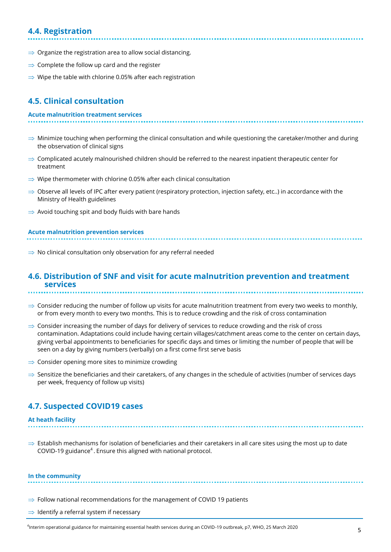# **4.4. Registration**

- $\Rightarrow$  Organize the registration area to allow social distancing.
- $\Rightarrow$  Complete the follow up card and the register
- $\Rightarrow$  Wipe the table with chlorine 0.05% after each registration

# **4.5. Clinical consultation**

#### **Acute malnutrition treatment services**

- $\Rightarrow$  Minimize touching when performing the clinical consultation and while questioning the caretaker/mother and during the observation of clinical signs
- $\Rightarrow$  Complicated acutely malnourished children should be referred to the nearest inpatient therapeutic center for treatment
- $\Rightarrow$  Wipe thermometer with chlorine 0.05% after each clinical consultation
- $\Rightarrow$  Observe all levels of IPC after every patient (respiratory protection, injection safety, etc..) in accordance with the Ministry of Health guidelines
- $\Rightarrow$  Avoid touching spit and body fluids with bare hands

#### **Acute malnutrition prevention services**

 $\Rightarrow$  No clinical consultation only observation for any referral needed

#### **4.6. Distribution of SNF and visit for acute malnutrition prevention and treatment services**

- $\Rightarrow$  Consider reducing the number of follow up visits for acute malnutrition treatment from every two weeks to monthly, or from every month to every two months. This is to reduce crowding and the risk of cross contamination
- $\Rightarrow$  Consider increasing the number of days for delivery of services to reduce crowding and the risk of cross contamination. Adaptations could include having certain villages/catchment areas come to the center on certain days, giving verbal appointments to beneficiaries for specific days and times or limiting the number of people that will be seen on a day by giving numbers (verbally) on a first come first serve basis
- $\Rightarrow$  Consider opening more sites to minimize crowding
- $\Rightarrow$  Sensitize the beneficiaries and their caretakers, of any changes in the schedule of activities (number of services days per week, frequency of follow up visits)

#### **4.7. Suspected COVID19 cases**

#### **At heath facility**

 $\Rightarrow$  Establish mechanisms for isolation of beneficiaries and their caretakers in all care sites using the most up to date COVID-19 guidance<sup>4</sup>. Ensure this aligned with national protocol.

#### **In the community**

- $\Rightarrow$  Follow national recommendations for the management of COVID 19 patients
- $\Rightarrow$  Identify a referral system if necessary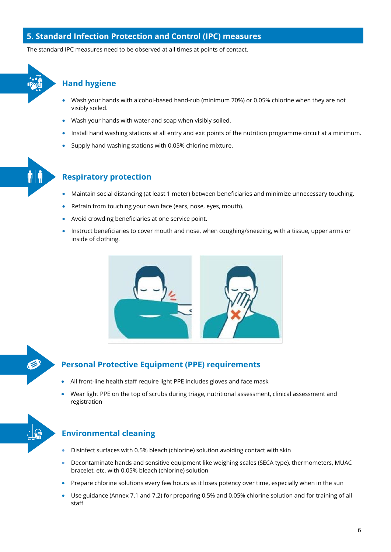# **5. Standard Infection Protection and Control (IPC) measures**

The standard IPC measures need to be observed at all times at points of contact.



### **Hand hygiene**

- Wash your hands with alcohol-based hand-rub (minimum 70%) or 0.05% chlorine when they are not visibly soiled.
- Wash your hands with water and soap when visibly soiled.
- Install hand washing stations at all entry and exit points of the nutrition programme circuit at a minimum.
- Supply hand washing stations with 0.05% chlorine mixture.



# **Respiratory protection**

- Maintain social distancing (at least 1 meter) between beneficiaries and minimize unnecessary touching.
- Refrain from touching your own face (ears, nose, eyes, mouth).
- Avoid crowding beneficiaries at one service point.
- Instruct beneficiaries to cover mouth and nose, when coughing/sneezing, with a tissue, upper arms or inside of clothing.





# **Personal Protective Equipment (PPE) requirements**

- All front-line health staff require light PPE includes gloves and face mask
- Wear light PPE on the top of scrubs during triage, nutritional assessment, clinical assessment and registration



# **Environmental cleaning**

- Disinfect surfaces with 0.5% bleach (chlorine) solution avoiding contact with skin
- Decontaminate hands and sensitive equipment like weighing scales (SECA type), thermometers, MUAC bracelet, etc. with 0.05% bleach (chlorine) solution
- Prepare chlorine solutions every few hours as it loses potency over time, especially when in the sun
- Use guidance (Annex 7.1 and 7.2) for preparing 0.5% and 0.05% chlorine solution and for training of all staff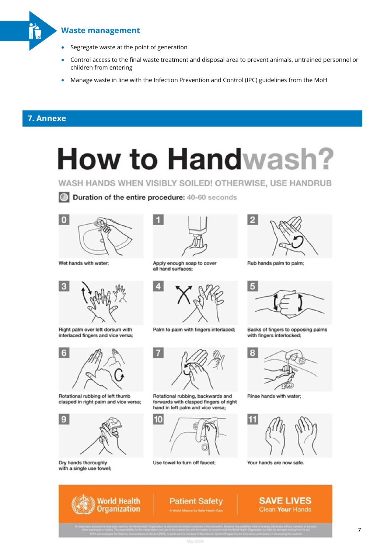

#### **Waste management**

- Segregate waste at the point of generation
- Control access to the final waste treatment and disposal area to prevent animals, untrained personnel or children from entering
- Manage waste in line with the Infection Prevention and Control (IPC) guidelines from the MoH

# **7. Annexe**

# **How to Handwash?**

WASH HANDS WHEN VISIBLY SOILED! OTHERWISE, USE HANDRUB



Wet hands with water:



Right palm over left dorsum with interlaced fingers and vice versa;



Rotational rubbing of left thumb clasped in right palm and vice versa;



Norld Health

**Organization** 

Dry hands thoroughly with a single use towel;



Apply enough soap to cover all hand surfaces;





Rotational rubbing, backwards and forwards with clasped fingers of right hand in left palm and vice versa;



Use towel to turn off faucet:



Rub hands palm to palm;



Backs of fingers to opposing palms with fingers interlocked:



Rinse hands with water;



**SAVE LIVES** 

**Clean Your Hands** 

Your hands are now safe.



Duration of the entire procedure: 40-60 seconds



**Patient Safety**